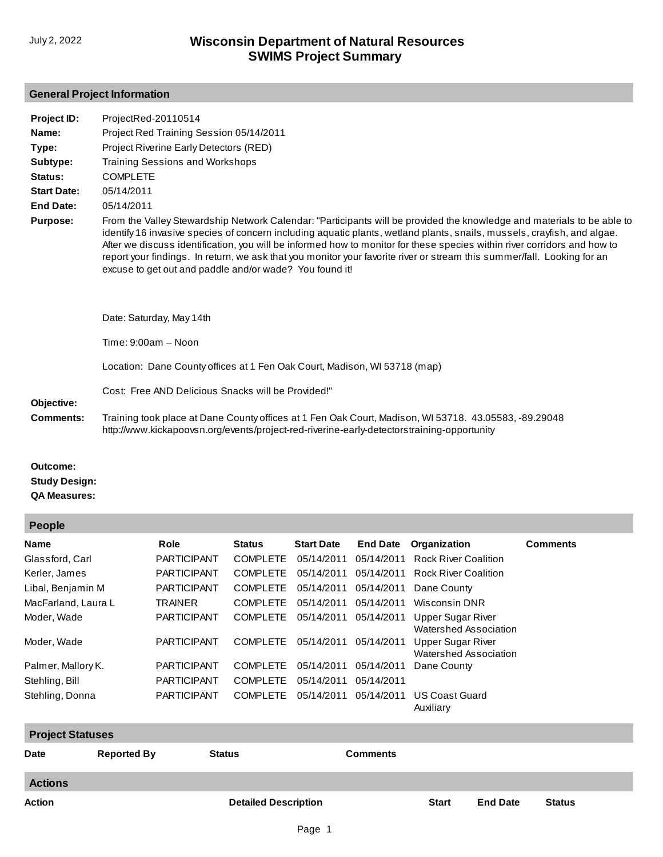## **General Project Information**

| ProjectRed-20110514                                                                                                                                                                                                                                                                                                                                                                                                                                                                                                                                                 |
|---------------------------------------------------------------------------------------------------------------------------------------------------------------------------------------------------------------------------------------------------------------------------------------------------------------------------------------------------------------------------------------------------------------------------------------------------------------------------------------------------------------------------------------------------------------------|
| Project Red Training Session 05/14/2011                                                                                                                                                                                                                                                                                                                                                                                                                                                                                                                             |
| Project Riverine Early Detectors (RED)                                                                                                                                                                                                                                                                                                                                                                                                                                                                                                                              |
| Training Sessions and Workshops                                                                                                                                                                                                                                                                                                                                                                                                                                                                                                                                     |
| <b>COMPLETE</b>                                                                                                                                                                                                                                                                                                                                                                                                                                                                                                                                                     |
| 05/14/2011                                                                                                                                                                                                                                                                                                                                                                                                                                                                                                                                                          |
| 05/14/2011                                                                                                                                                                                                                                                                                                                                                                                                                                                                                                                                                          |
| From the Valley Stewardship Network Calendar: "Participants will be provided the knowledge and materials to be able to<br>identify 16 invasive species of concern including aquatic plants, wetland plants, snails, mussels, crayfish, and algae.<br>After we discuss identification, you will be informed how to monitor for these species within river corridors and how to<br>report your findings. In return, we ask that you monitor your favorite river or stream this summer/fall. Looking for an<br>excuse to get out and paddle and/or wade? You found it! |
| Date: Saturday, May 14th                                                                                                                                                                                                                                                                                                                                                                                                                                                                                                                                            |
| $Time: 9:00am - Noon$                                                                                                                                                                                                                                                                                                                                                                                                                                                                                                                                               |
| Location: Dane County offices at 1 Fen Oak Court, Madison, WI 53718 (map)                                                                                                                                                                                                                                                                                                                                                                                                                                                                                           |
| Cost: Free AND Delicious Snacks will be Provided!"                                                                                                                                                                                                                                                                                                                                                                                                                                                                                                                  |
| Training took place at Dane County offices at 1 Fen Oak Court, Madison, WI 53718. 43.05583, -89.29048<br>http://www.kickapoovsn.org/events/project-red-riverine-early-detectorstraining-opportunity                                                                                                                                                                                                                                                                                                                                                                 |
|                                                                                                                                                                                                                                                                                                                                                                                                                                                                                                                                                                     |

**Outcome: Study Design: QA Measures:**

**People**

| <b>Lenhie</b>           |                    |                    |                 |                   |                 |                                                   |                 |  |  |  |
|-------------------------|--------------------|--------------------|-----------------|-------------------|-----------------|---------------------------------------------------|-----------------|--|--|--|
| <b>Name</b>             |                    | <b>Role</b>        | <b>Status</b>   | <b>Start Date</b> | <b>End Date</b> | Organization                                      | <b>Comments</b> |  |  |  |
| Glassford, Carl         |                    | <b>PARTICIPANT</b> | <b>COMPLETE</b> | 05/14/2011        | 05/14/2011      | <b>Rock River Coalition</b>                       |                 |  |  |  |
| Kerler, James           |                    | <b>PARTICIPANT</b> | <b>COMPLETE</b> | 05/14/2011        | 05/14/2011      | <b>Rock River Coalition</b>                       |                 |  |  |  |
| Libal, Benjamin M       |                    | <b>PARTICIPANT</b> | <b>COMPLETE</b> | 05/14/2011        | 05/14/2011      | Dane County                                       |                 |  |  |  |
| MacFarland, Laura L     |                    | <b>TRAINER</b>     | <b>COMPLETE</b> | 05/14/2011        | 05/14/2011      | Wisconsin DNR                                     |                 |  |  |  |
| Moder, Wade             |                    | <b>PARTICIPANT</b> | <b>COMPLETE</b> | 05/14/2011        | 05/14/2011      | <b>Upper Sugar River</b><br>Watershed Association |                 |  |  |  |
| Moder, Wade             |                    | <b>PARTICIPANT</b> | <b>COMPLETE</b> | 05/14/2011        | 05/14/2011      | <b>Upper Sugar River</b><br>Watershed Association |                 |  |  |  |
| Palmer, Mallory K.      |                    | <b>PARTICIPANT</b> | <b>COMPLETE</b> | 05/14/2011        | 05/14/2011      | Dane County                                       |                 |  |  |  |
| Stehling, Bill          |                    | <b>PARTICIPANT</b> | <b>COMPLETE</b> | 05/14/2011        | 05/14/2011      |                                                   |                 |  |  |  |
| Stehling, Donna         |                    | <b>PARTICIPANT</b> | <b>COMPLETE</b> | 05/14/2011        | 05/14/2011      | <b>US Coast Guard</b><br>Auxiliary                |                 |  |  |  |
| <b>Project Statuses</b> |                    |                    |                 |                   |                 |                                                   |                 |  |  |  |
| <b>Date</b>             | <b>Reported By</b> |                    | <b>Status</b>   |                   | <b>Comments</b> |                                                   |                 |  |  |  |
| <b>Actions</b>          |                    |                    |                 |                   |                 |                                                   |                 |  |  |  |